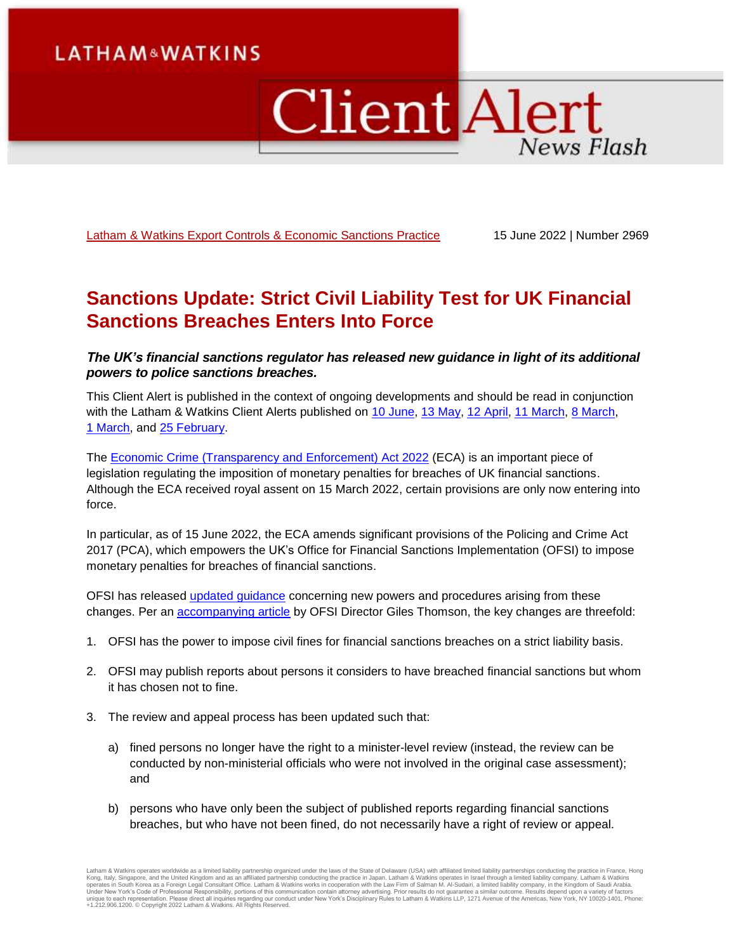# **LATHAM&WATKINS**

# **Client Alert** News Flash

[Latham & Watkins Export Controls & Economic Sanctions Practice](https://www.lw.com/practices/ExportControlsAndEconomicSanctions) 15 June 2022 | Number 2969

# **Sanctions Update: Strict Civil Liability Test for UK Financial Sanctions Breaches Enters Into Force**

*The UK's financial sanctions regulator has released new guidance in light of its additional powers to police sanctions breaches.*

This Client Alert is published in the context of ongoing developments and should be read in conjunction with the Latham & Watkins Client Alerts published on [10 June,](https://www.lw.com/thoughtLeadership/Sanctions-Update-EU-Expands-Sanctions-and-Export-Controls-Relating-to-Russia-and-Belarus) [13 May,](https://www.lw.com/thoughtLeadership/sanctions-and-export-controls-update-us-uk-and-eu-developments-relating-to-russia) [12 April,](https://www.lw.com/thoughtLeadership/Sanctions-Update-EU-UK-US-and-Japan-Expand-Sanctions-and-Export-Controls-Relating-to-Russia) [11 March,](https://www.lw.com/thoughtLeadership/sanctions-update-us-targets-russia-energy-sector-announces-new-trade-restrictions-and-issues-new-sanctions-designations) [8 March,](https://www.lw.com/thoughtLeadership/Sanctions-Update-UK-and-EU-Expand-Sanctions-and-Export-Controls-Relating-to-Russia) 1 [March,](https://www.lw.com/thoughtLeadership/Sanctions-Update-EU-UK-and-Japan-Impose-New-Sanctions-and-Export-Controls-Relating-to-Russia) and [25 February.](https://www.lw.com/thoughtLeadership/sanctions-update-us-uk-eu-impose-sweeping-new-sanctions-relating-to-russia-and-ukraine)

The [Economic Crime \(Transparency and Enforcement\) Act 2022](https://www.legislation.gov.uk/ukpga/2022/10) (ECA) is an important piece of legislation regulating the imposition of monetary penalties for breaches of UK financial sanctions. Although the ECA received royal assent on 15 March 2022, certain provisions are only now entering into force.

In particular, as of 15 June 2022, the ECA amends significant provisions of the Policing and Crime Act 2017 (PCA), which empowers the UK's Office for Financial Sanctions Implementation (OFSI) to impose monetary penalties for breaches of financial sanctions.

OFSI has released updated [guidance](https://assets.publishing.service.gov.uk/government/uploads/system/uploads/attachment_data/file/1081197/OFSI_Enforcement_guidance_June_2022.pdf) concerning new powers and procedures arising from these changes. Per an [accompanying article](https://ofsi.blog.gov.uk/2022/06/08/new-enforcement-powers-a-message-from-giles-thomson-director-of-ofsi/) by OFSI Director Giles Thomson, the key changes are threefold:

- 1. OFSI has the power to impose civil fines for financial sanctions breaches on a strict liability basis.
- 2. OFSI may publish reports about persons it considers to have breached financial sanctions but whom it has chosen not to fine.
- 3. The review and appeal process has been updated such that:
	- a) fined persons no longer have the right to a minister-level review (instead, the review can be conducted by non-ministerial officials who were not involved in the original case assessment); and
	- b) persons who have only been the subject of published reports regarding financial sanctions breaches, but who have not been fined, do not necessarily have a right of review or appeal.

Latham & Watkins operates worldwide as a limited liability partnership organized under the laws of the State of Delaware (USA) with affiliated limited liability partnerships conducting the practice in France, Hong Kong, Italy, Singapore, and the United Kingdom and as an affiliated partnership conducting the practice in Japan. Latham & Watkins operates in Israel through a limited liability company. Latham & Watkins<br>operates in South +1.212.906.1200. © Copyright 2022 Latham & Watkins. All Rights Reserved.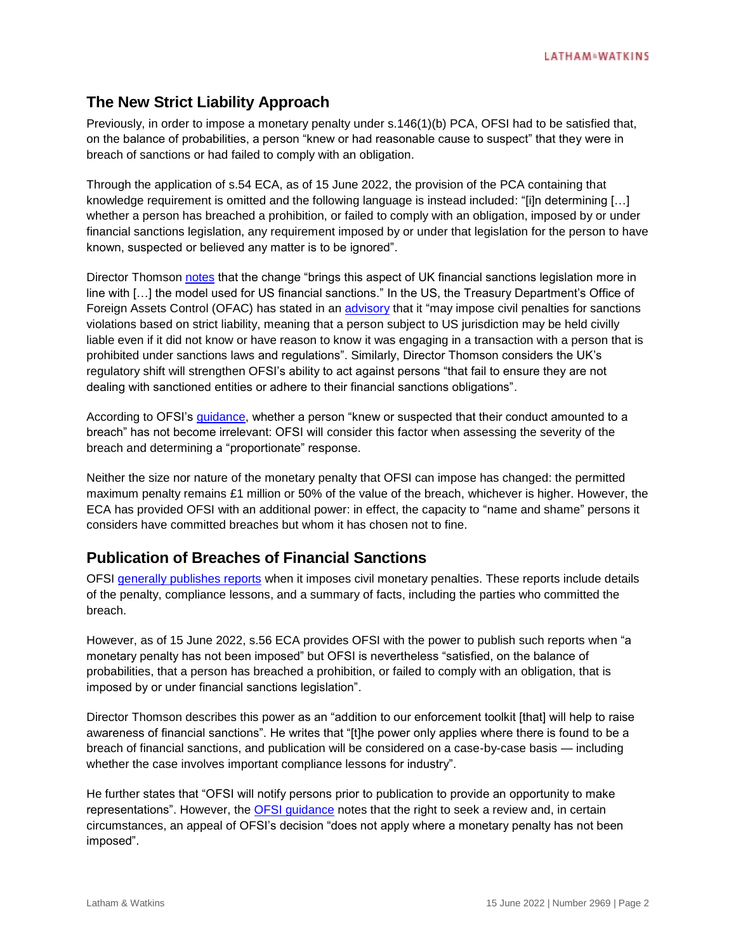# **The New Strict Liability Approach**

Previously, in order to impose a monetary penalty under s.146(1)(b) PCA, OFSI had to be satisfied that, on the balance of probabilities, a person "knew or had reasonable cause to suspect" that they were in breach of sanctions or had failed to comply with an obligation.

Through the application of s.54 ECA, as of 15 June 2022, the provision of the PCA containing that knowledge requirement is omitted and the following language is instead included: "[i]n determining […] whether a person has breached a prohibition, or failed to comply with an obligation, imposed by or under financial sanctions legislation, any requirement imposed by or under that legislation for the person to have known, suspected or believed any matter is to be ignored".

Director Thomson [notes](https://ofsi.blog.gov.uk/2022/06/08/new-enforcement-powers-a-message-from-giles-thomson-director-of-ofsi/) that the change "brings this aspect of UK financial sanctions legislation more in line with […] the model used for US financial sanctions." In the US, the Treasury Department's Office of Foreign Assets Control (OFAC) has stated in an [advisory](https://home.treasury.gov/system/files/126/ofac_ransomware_advisory_10012020_1.pdf) that it "may impose civil penalties for sanctions violations based on strict liability, meaning that a person subject to US jurisdiction may be held civilly liable even if it did not know or have reason to know it was engaging in a transaction with a person that is prohibited under sanctions laws and regulations". Similarly, Director Thomson considers the UK's regulatory shift will strengthen OFSI's ability to act against persons "that fail to ensure they are not dealing with sanctioned entities or adhere to their financial sanctions obligations".

According to OFSI's [guidance,](https://assets.publishing.service.gov.uk/government/uploads/system/uploads/attachment_data/file/1081197/OFSI_Enforcement_guidance_June_2022.pdf) whether a person "knew or suspected that their conduct amounted to a breach" has not become irrelevant: OFSI will consider this factor when assessing the severity of the breach and determining a "proportionate" response.

Neither the size nor nature of the monetary penalty that OFSI can impose has changed: the permitted maximum penalty remains £1 million or 50% of the value of the breach, whichever is higher. However, the ECA has provided OFSI with an additional power: in effect, the capacity to "name and shame" persons it considers have committed breaches but whom it has chosen not to fine.

### **Publication of Breaches of Financial Sanctions**

OFSI [generally publishes reports](https://www.gov.uk/government/collections/enforcement-of-financial-sanctions) when it imposes civil monetary penalties. These reports include details of the penalty, compliance lessons, and a summary of facts, including the parties who committed the breach.

However, as of 15 June 2022, s.56 ECA provides OFSI with the power to publish such reports when "a monetary penalty has not been imposed" but OFSI is nevertheless "satisfied, on the balance of probabilities, that a person has breached a prohibition, or failed to comply with an obligation, that is imposed by or under financial sanctions legislation".

Director Thomson describes this power as an "addition to our enforcement toolkit [that] will help to raise awareness of financial sanctions". He writes that "[t]he power only applies where there is found to be a breach of financial sanctions, and publication will be considered on a case-by-case basis — including whether the case involves important compliance lessons for industry".

He further states that "OFSI will notify persons prior to publication to provide an opportunity to make representations". However, the [OFSI guidance](https://assets.publishing.service.gov.uk/government/uploads/system/uploads/attachment_data/file/1082822/15.06.22_Monetary_penalty_guidaance.pdf) notes that the right to seek a review and, in certain circumstances, an appeal of OFSI's decision "does not apply where a monetary penalty has not been imposed".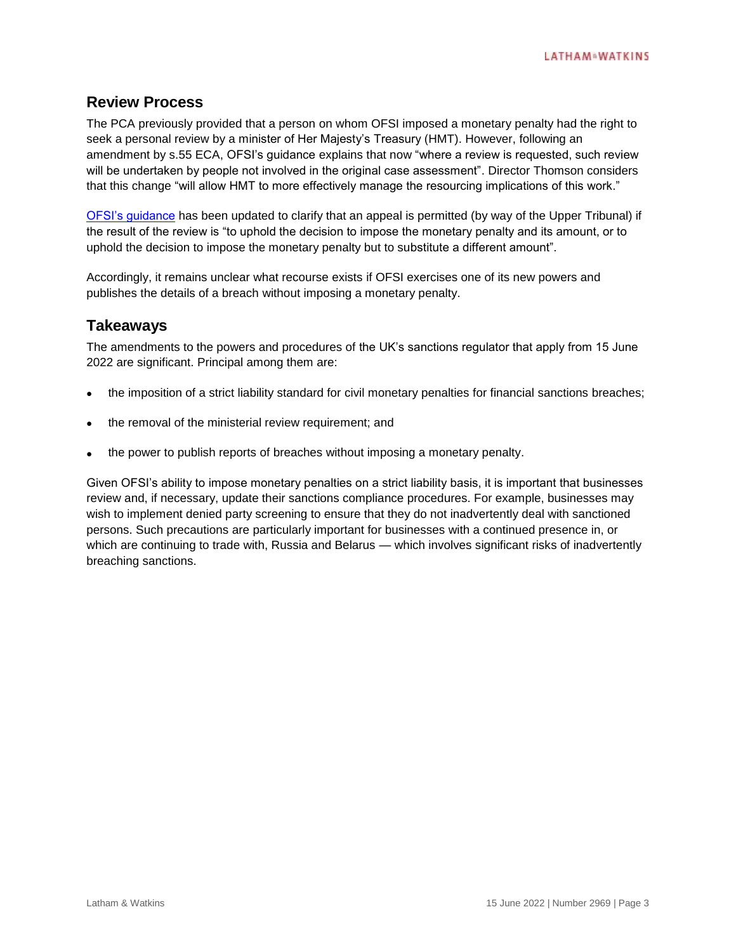## **Review Process**

The PCA previously provided that a person on whom OFSI imposed a monetary penalty had the right to seek a personal review by a minister of Her Majesty's Treasury (HMT). However, following an amendment by s.55 ECA, OFSI's guidance explains that now "where a review is requested, such review will be undertaken by people not involved in the original case assessment". Director Thomson considers that this change "will allow HMT to more effectively manage the resourcing implications of this work."

[OFSI's guidance](https://assets.publishing.service.gov.uk/government/uploads/system/uploads/attachment_data/file/1082822/15.06.22_Monetary_penalty_guidaance.pdf) has been updated to clarify that an appeal is permitted (by way of the Upper Tribunal) if the result of the review is "to uphold the decision to impose the monetary penalty and its amount, or to uphold the decision to impose the monetary penalty but to substitute a different amount".

Accordingly, it remains unclear what recourse exists if OFSI exercises one of its new powers and publishes the details of a breach without imposing a monetary penalty.

## **Takeaways**

The amendments to the powers and procedures of the UK's sanctions regulator that apply from 15 June 2022 are significant. Principal among them are:

- the imposition of a strict liability standard for civil monetary penalties for financial sanctions breaches;
- the removal of the ministerial review requirement; and
- the power to publish reports of breaches without imposing a monetary penalty.

Given OFSI's ability to impose monetary penalties on a strict liability basis, it is important that businesses review and, if necessary, update their sanctions compliance procedures. For example, businesses may wish to implement denied party screening to ensure that they do not inadvertently deal with sanctioned persons. Such precautions are particularly important for businesses with a continued presence in, or which are continuing to trade with, Russia and Belarus — which involves significant risks of inadvertently breaching sanctions.